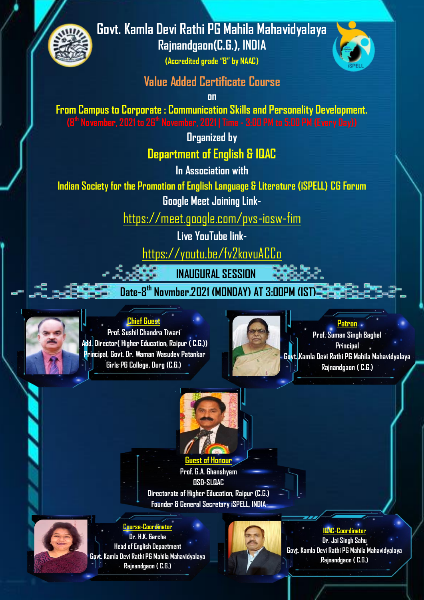

**Govt. Kamla Devi Rathi PG Mahila Mahavidyalaya Rajnandgaon(C.G.), INDIA**

**(Accredited grade "B" by NAAC)**



### **Value Added Certificate Course**

**on**

**From Campus to Corporate : Communication Skills and Personality Development. (8th November, 2021 to 26th November, 2021 | Time - 3:00 PM to 5:00 PM (Every Day))**

> **Organized by Department of English & IQAC**

> > **In Association with**

**Indian Society for the Promotion of English Language & Literature (iSPELL) CG Forum Google Meet Joining Link-**

<https://meet.google.com/pvs-iosw-fim>

**Live YouTube link-**

<https://youtu.be/fv2kovuACCo>

**INAUGURAL SESSION**

**Date-8 th Novmber,2021 (MONDAY) AT 3:00PM (IST)** 



**Chief Guest**

**Prof. Sushil Chandra Tiwari Add. Director( Higher Education, Raipur ( C.G.)) Principal, Govt. Dr. Waman Wasudev Patankar Girls PG College, Durg (C.G.)**



# **Patron**

**Prof. Suman Singh Baghel Principal Govt. Kamla Devi Rathi PG Mahila Mahavidyalaya Rajnandgaon ( C.G.)**



**Guest of Honour Prof. G.A. Ghanshyam OSD-SLQAC Directorate of Higher Education, Raipur (C.G.) Founder & General Secretary iSPELL, INDIA**

#### **Course-Coor**d

**Dr. H.K. Garcha Head of English Department Govt. Kamla Devi Rathi PG Mahila Mahavidyalaya Rajnandgaon ( C.G.)**



#### **DAC-Coordin**

**Dr. Jai Singh Sahu Govt. Kamla Devi Rathi PG Mahila Mahavidyalaya Rajnandgaon ( C.G.)**